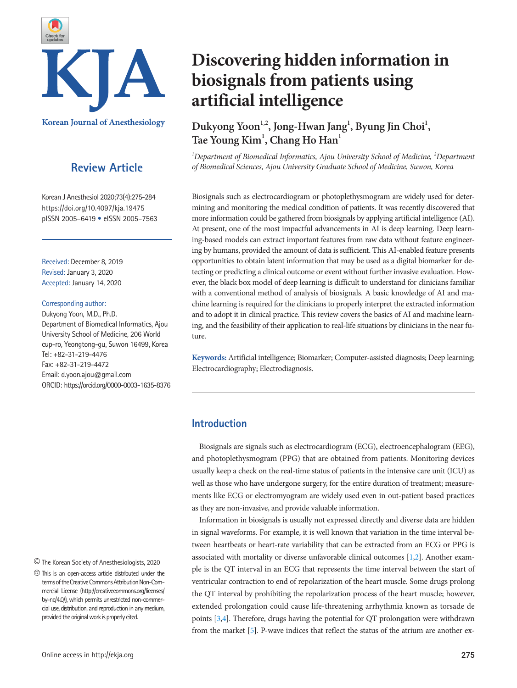

# **Review Article**

Korean J Anesthesiol 2020;73(4):275-284 https://doi.org/10.4097/kja.19475 pISSN 2005–6419 • eISSN 2005–7563

Received: December 8, 2019 Revised: January 3, 2020 Accepted: January 14, 2020

#### Corresponding author:

Dukyong Yoon, M.D., Ph.D. Department of Biomedical Informatics, Ajou University School of Medicine, 206 World cup-ro, Yeongtong-gu, Suwon 16499, Korea Tel: +82-31-219-4476 Fax: +82-31-219-4472 Email: d.yoon.ajou@gmail.com ORCID: https://orcid.org/0000-0003-1635-8376

The Korean Society of Anesthesiologists, 2020

# **Discovering hidden information in biosignals from patients using artificial intelligence**

Dukyong Yoon<sup>1,2</sup>, Jong-Hwan Jang<sup>1</sup>, Byung Jin Choi<sup>1</sup>, **Tae Young Kim1 , Chang Ho Han1**

<sup>1</sup>Department of Biomedical Informatics, Ajou University School of Medicine, <sup>2</sup>Department *of Biomedical Sciences, Ajou University Graduate School of Medicine, Suwon, Korea*

Biosignals such as electrocardiogram or photoplethysmogram are widely used for determining and monitoring the medical condition of patients. It was recently discovered that more information could be gathered from biosignals by applying artificial intelligence (AI). At present, one of the most impactful advancements in AI is deep learning. Deep learning-based models can extract important features from raw data without feature engineering by humans, provided the amount of data is sufficient. This AI-enabled feature presents opportunities to obtain latent information that may be used as a digital biomarker for detecting or predicting a clinical outcome or event without further invasive evaluation. However, the black box model of deep learning is difficult to understand for clinicians familiar with a conventional method of analysis of biosignals. A basic knowledge of AI and machine learning is required for the clinicians to properly interpret the extracted information and to adopt it in clinical practice. This review covers the basics of AI and machine learning, and the feasibility of their application to real-life situations by clinicians in the near future.

**Keywords:** Artificial intelligence; Biomarker; Computer-assisted diagnosis; Deep learning; Electrocardiography; Electrodiagnosis.

# **Introduction**

Biosignals are signals such as electrocardiogram (ECG), electroencephalogram (EEG), and photoplethysmogram (PPG) that are obtained from patients. Monitoring devices usually keep a check on the real-time status of patients in the intensive care unit (ICU) as well as those who have undergone surgery, for the entire duration of treatment; measurements like ECG or electromyogram are widely used even in out-patient based practices as they are non-invasive, and provide valuable information.

Information in biosignals is usually not expressed directly and diverse data are hidden in signal waveforms. For example, it is well known that variation in the time interval between heartbeats or heart-rate variability that can be extracted from an ECG or PPG is associated with mortality or diverse unfavorable clinical outcomes [\[1](#page-7-0)[,2\]](#page-7-1). Another example is the QT interval in an ECG that represents the time interval between the start of ventricular contraction to end of repolarization of the heart muscle. Some drugs prolong the QT interval by prohibiting the repolarization process of the heart muscle; however, extended prolongation could cause life-threatening arrhythmia known as torsade de points [\[3](#page-7-2)[,4\]](#page-7-3). Therefore, drugs having the potential for QT prolongation were withdrawn from the market [\[5\]](#page-8-0). P-wave indices that reflect the status of the atrium are another ex-

This is an open-access article distributed under the terms of the Creative Commons Attribution Non-Commercial License (http://creativecommons.org/licenses/ by-nc/4.0/), which permits unrestricted non-commercial use, distribution, and reproduction in any medium, provided the original work is properly cited.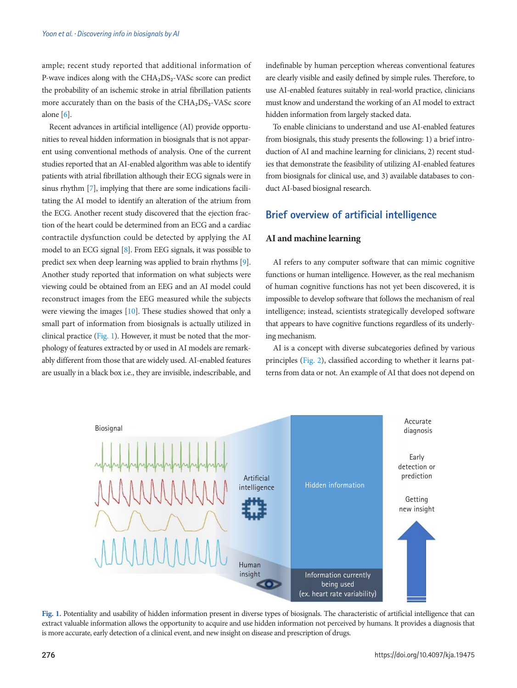ample; recent study reported that additional information of P-wave indices along with the CHA<sub>2</sub>DS<sub>2</sub>-VASc score can predict the probability of an ischemic stroke in atrial fibrillation patients more accurately than on the basis of the CHA2DS2-VASc score alone [\[6\]](#page-8-1).

Recent advances in artificial intelligence (AI) provide opportunities to reveal hidden information in biosignals that is not apparent using conventional methods of analysis. One of the current studies reported that an AI-enabled algorithm was able to identify patients with atrial fibrillation although their ECG signals were in sinus rhythm [\[7](#page-7-2)], implying that there are some indications facilitating the AI model to identify an alteration of the atrium from the ECG. Another recent study discovered that the ejection fraction of the heart could be determined from an ECG and a cardiac contractile dysfunction could be detected by applying the AI model to an ECG signal [\[8](#page-8-0)]. From EEG signals, it was possible to predict sex when deep learning was applied to brain rhythms [\[9\]](#page-8-2). Another study reported that information on what subjects were viewing could be obtained from an EEG and an AI model could reconstruct images from the EEG measured while the subjects were viewing the images [\[10\]](#page-8-3). These studies showed that only a small part of information from biosignals is actually utilized in clinical practice [\(Fig. 1\)](#page-8-4). However, it must be noted that the morphology of features extracted by or used in AI models are remarkably different from those that are widely used. AI-enabled features are usually in a black box i.e., they are invisible, indescribable, and indefinable by human perception whereas conventional features are clearly visible and easily defined by simple rules. Therefore, to use AI-enabled features suitably in real-world practice, clinicians must know and understand the working of an AI model to extract hidden information from largely stacked data.

To enable clinicians to understand and use AI-enabled features from biosignals, this study presents the following: 1) a brief introduction of AI and machine learning for clinicians, 2) recent studies that demonstrate the feasibility of utilizing AI-enabled features from biosignals for clinical use, and 3) available databases to conduct AI-based biosignal research.

# **Brief overview of artificial intelligence**

## **AI and machine learning**

AI refers to any computer software that can mimic cognitive functions or human intelligence. However, as the real mechanism of human cognitive functions has not yet been discovered, it is impossible to develop software that follows the mechanism of real intelligence; instead, scientists strategically developed software that appears to have cognitive functions regardless of its underlying mechanism.

AI is a concept with diverse subcategories defined by various principles [\(Fig. 2](#page-2-0)), classified according to whether it learns patterns from data or not. An example of AI that does not depend on



**Fig. 1.** Potentiality and usability of hidden information present in diverse types of biosignals. The characteristic of artificial intelligence that can extract valuable information allows the opportunity to acquire and use hidden information not perceived by humans. It provides a diagnosis that is more accurate, early detection of a clinical event, and new insight on disease and prescription of drugs.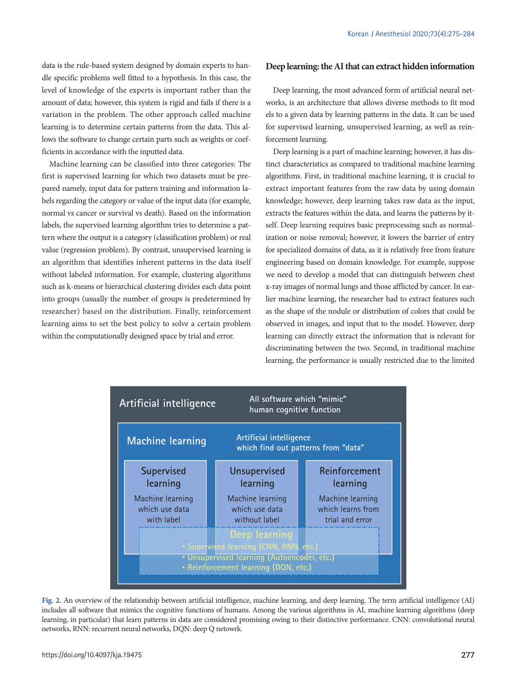data is the rule-based system designed by domain experts to handle specific problems well fitted to a hypothesis. In this case, the level of knowledge of the experts is important rather than the amount of data; however, this system is rigid and fails if there is a variation in the problem. The other approach called machine learning is to determine certain patterns from the data. This allows the software to change certain parts such as weights or coefficients in accordance with the inputted data.

Machine learning can be classified into three categories: The first is supervised learning for which two datasets must be prepared namely, input data for pattern training and information labels regarding the category or value of the input data (for example, normal vs cancer or survival vs death). Based on the information labels, the supervised learning algorithm tries to determine a pattern where the output is a category (classification problem) or real value (regression problem). By contrast, unsupervised learning is an algorithm that identifies inherent patterns in the data itself without labeled information. For example, clustering algorithms such as k-means or hierarchical clustering divides each data point into groups (usually the number of groups is predetermined by researcher) based on the distribution. Finally, reinforcement learning aims to set the best policy to solve a certain problem within the computationally designed space by trial and error.

## **Deep learning: the AI that can extract hidden information**

Deep learning, the most advanced form of artificial neural networks, is an architecture that allows diverse methods to fit mod els to a given data by learning patterns in the data. It can be used for supervised learning, unsupervised learning, as well as reinforcement learning.

Deep learning is a part of machine learning; however, it has distinct characteristics as compared to traditional machine learning algorithms. First, in traditional machine learning, it is crucial to extract important features from the raw data by using domain knowledge; however, deep learning takes raw data as the input, extracts the features within the data, and learns the patterns by itself. Deep learning requires basic preprocessing such as normalization or noise removal; however, it lowers the barrier of entry for specialized domains of data, as it is relatively free from feature engineering based on domain knowledge. For example, suppose we need to develop a model that can distinguish between chest x-ray images of normal lungs and those afflicted by cancer. In earlier machine learning, the researcher had to extract features such as the shape of the nodule or distribution of colors that could be observed in images, and input that to the model. However, deep learning can directly extract the information that is relevant for discriminating between the two. Second, in traditional machine learning, the performance is usually restricted due to the limited

<span id="page-2-0"></span>

**Fig. 2.** An overview of the relationship between artificial intelligence, machine learning, and deep learning. The term artificial intelligence (AI) includes all software that mimics the cognitive functions of humans. Among the various algorithms in AI, machine learning algorithms (deep learning, in particular) that learn patterns in data are considered promising owing to their distinctive performance. CNN: convolutional neural networks, RNN: recurrent neural networks, DQN: deep Q netowrk.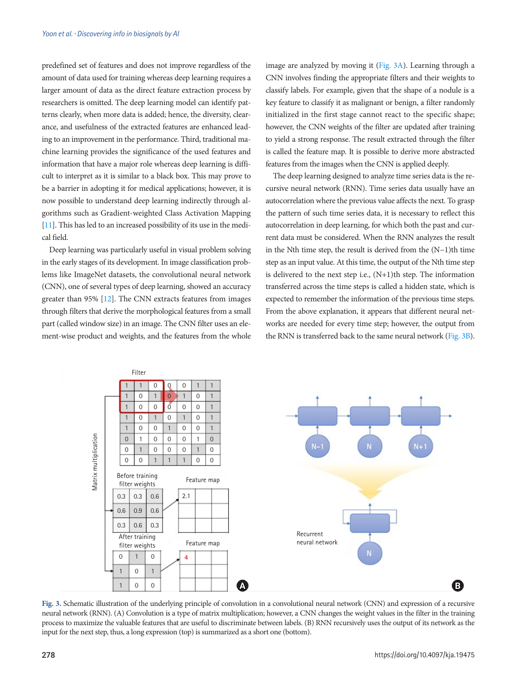predefined set of features and does not improve regardless of the amount of data used for training whereas deep learning requires a larger amount of data as the direct feature extraction process by researchers is omitted. The deep learning model can identify patterns clearly, when more data is added; hence, the diversity, clearance, and usefulness of the extracted features are enhanced leading to an improvement in the performance. Third, traditional machine learning provides the significance of the used features and information that have a major role whereas deep learning is difficult to interpret as it is similar to a black box. This may prove to be a barrier in adopting it for medical applications; however, it is now possible to understand deep learning indirectly through algorithms such as Gradient-weighted Class Activation Mapping [\[11](#page-8-5)]. This has led to an increased possibility of its use in the medical field.

Deep learning was particularly useful in visual problem solving in the early stages of its development. In image classification problems like ImageNet datasets, the convolutional neural network (CNN), one of several types of deep learning, showed an accuracy greater than 95% [\[12](#page-8-6)]. The CNN extracts features from images through filters that derive the morphological features from a small part (called window size) in an image. The CNN filter uses an element-wise product and weights, and the features from the whole image are analyzed by moving it [\(Fig. 3A](#page-3-0)). Learning through a CNN involves finding the appropriate filters and their weights to classify labels. For example, given that the shape of a nodule is a key feature to classify it as malignant or benign, a filter randomly initialized in the first stage cannot react to the specific shape; however, the CNN weights of the filter are updated after training to yield a strong response. The result extracted through the filter is called the feature map. It is possible to derive more abstracted features from the images when the CNN is applied deeply.

The deep learning designed to analyze time series data is the recursive neural network (RNN). Time series data usually have an autocorrelation where the previous value affects the next. To grasp the pattern of such time series data, it is necessary to reflect this autocorrelation in deep learning, for which both the past and current data must be considered. When the RNN analyzes the result in the Nth time step, the result is derived from the (N−1)th time step as an input value. At this time, the output of the Nth time step is delivered to the next step i.e.,  $(N+1)$ th step. The information transferred across the time steps is called a hidden state, which is expected to remember the information of the previous time steps. From the above explanation, it appears that different neural networks are needed for every time step; however, the output from the RNN is transferred back to the same neural network [\(Fig. 3B\)](#page-3-0).

<span id="page-3-0"></span>

**Fig. 3.** Schematic illustration of the underlying principle of convolution in a convolutional neural network (CNN) and expression of a recursive neural network (RNN). (A) Convolution is a type of matrix multiplication; however, a CNN changes the weight values in the filter in the training process to maximize the valuable features that are useful to discriminate between labels. (B) RNN recursively uses the output of its network as the input for the next step, thus, a long expression (top) is summarized as a short one (bottom).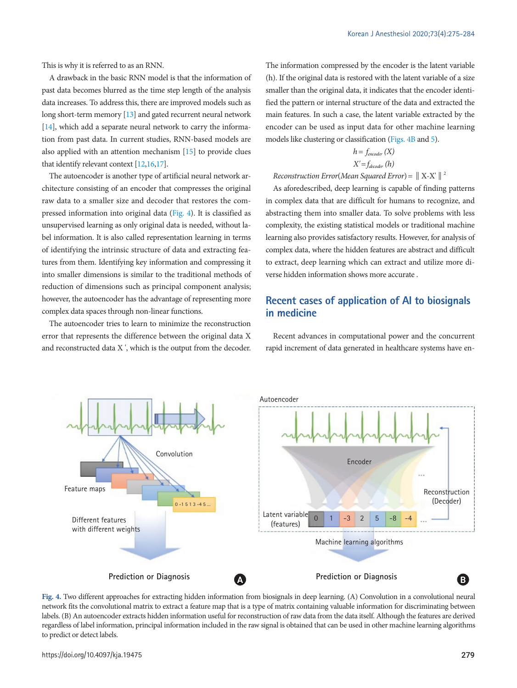This is why it is referred to as an RNN.

A drawback in the basic RNN model is that the information of past data becomes blurred as the time step length of the analysis data increases. To address this, there are improved models such as long short-term memory [\[13\]](#page-8-7) and gated recurrent neural network [\[14](#page-8-8)], which add a separate neural network to carry the information from past data. In current studies, RNN-based models are also applied with an attention mechanism [\[15\]](#page-8-9) to provide clues that identify relevant context [12[,16](#page-8-10)[,17\]](#page-8-11).

The autoencoder is another type of artificial neural network architecture consisting of an encoder that compresses the original raw data to a smaller size and decoder that restores the compressed information into original data [\(Fig. 4\)](#page-4-0). It is classified as unsupervised learning as only original data is needed, without label information. It is also called representation learning in terms of identifying the intrinsic structure of data and extracting features from them. Identifying key information and compressing it into smaller dimensions is similar to the traditional methods of reduction of dimensions such as principal component analysis; however, the autoencoder has the advantage of representing more complex data spaces through non-linear functions.

The autoencoder tries to learn to minimize the reconstruction error that represents the difference between the original data X and reconstructed data X ', which is the output from the decoder.

The information compressed by the encoder is the latent variable (h). If the original data is restored with the latent variable of a size smaller than the original data, it indicates that the encoder identified the pattern or internal structure of the data and extracted the main features. In such a case, the latent variable extracted by the encoder can be used as input data for other machine learning models like clustering or classification [\(Figs. 4B](#page-4-0) and [5\)](#page-5-0).

$$
h = f_{encoder} (X)
$$

$$
X' = f_{decoder} (h)
$$

*Reconstruction Error*(*Mean Squared Error*)=‖X-X'‖<sup>2</sup>

As aforedescribed, deep learning is capable of finding patterns in complex data that are difficult for humans to recognize, and abstracting them into smaller data. To solve problems with less complexity, the existing statistical models or traditional machine learning also provides satisfactory results. However, for analysis of complex data, where the hidden features are abstract and difficult to extract, deep learning which can extract and utilize more diverse hidden information shows more accurate .

# **Recent cases of application of AI to biosignals in medicine**

Recent advances in computational power and the concurrent rapid increment of data generated in healthcare systems have en-

<span id="page-4-0"></span>

Fig. 4. Two different approaches for extracting hidden information from biosignals in deep learning. (A) Convolution in a convolutional neural network fits the convolutional matrix to extract a feature map that is a type of matrix containing valuable information for discriminating between labels. (B) An autoencoder extracts hidden information useful for reconstruction of raw data from the data itself. Although the features are derived regardless of label information, principal information included in the raw signal is obtained that can be used in other machine learning algorithms to predict or detect labels.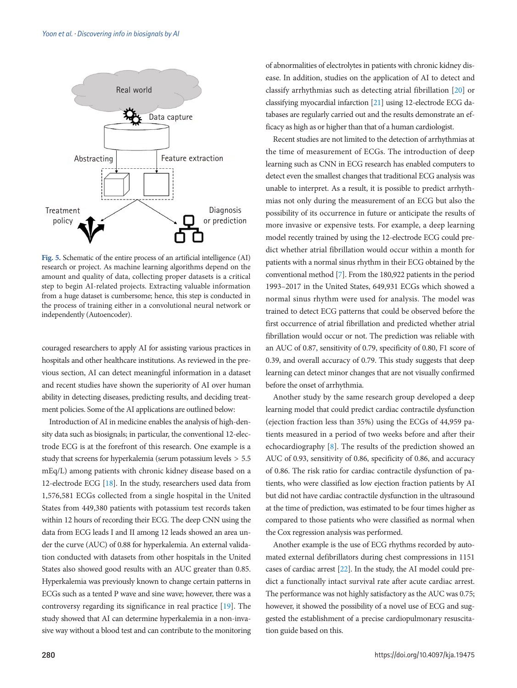<span id="page-5-0"></span>

**Fig. 5.** Schematic of the entire process of an artificial intelligence (AI) research or project. As machine learning algorithms depend on the amount and quality of data, collecting proper datasets is a critical step to begin AI-related projects. Extracting valuable information from a huge dataset is cumbersome; hence, this step is conducted in the process of training either in a convolutional neural network or independently (Autoencoder).

couraged researchers to apply AI for assisting various practices in hospitals and other healthcare institutions. As reviewed in the previous section, AI can detect meaningful information in a dataset and recent studies have shown the superiority of AI over human ability in detecting diseases, predicting results, and deciding treatment policies. Some of the AI applications are outlined below:

Introduction of AI in medicine enables the analysis of high-density data such as biosignals; in particular, the conventional 12-electrode ECG is at the forefront of this research. One example is a study that screens for hyperkalemia (serum potassium levels > 5.5 mEq/L) among patients with chronic kidney disease based on a 12-electrode ECG [\[18](#page-8-12)]. In the study, researchers used data from 1,576,581 ECGs collected from a single hospital in the United States from 449,380 patients with potassium test records taken within 12 hours of recording their ECG. The deep CNN using the data from ECG leads I and II among 12 leads showed an area under the curve (AUC) of 0.88 for hyperkalemia. An external validation conducted with datasets from other hospitals in the United States also showed good results with an AUC greater than 0.85. Hyperkalemia was previously known to change certain patterns in ECGs such as a tented P wave and sine wave; however, there was a controversy regarding its significance in real practice [\[19](#page-8-13)]. The study showed that AI can determine hyperkalemia in a non-invasive way without a blood test and can contribute to the monitoring

of abnormalities of electrolytes in patients with chronic kidney disease. In addition, studies on the application of AI to detect and classify arrhythmias such as detecting atrial fibrillation [\[20\]](#page-8-14) or classifying myocardial infarction [\[21](#page-8-15)] using 12-electrode ECG databases are regularly carried out and the results demonstrate an efficacy as high as or higher than that of a human cardiologist.

Recent studies are not limited to the detection of arrhythmias at the time of measurement of ECGs. The introduction of deep learning such as CNN in ECG research has enabled computers to detect even the smallest changes that traditional ECG analysis was unable to interpret. As a result, it is possible to predict arrhythmias not only during the measurement of an ECG but also the possibility of its occurrence in future or anticipate the results of more invasive or expensive tests. For example, a deep learning model recently trained by using the 12-electrode ECG could predict whether atrial fibrillation would occur within a month for patients with a normal sinus rhythm in their ECG obtained by the conventional method [7]. From the 180,922 patients in the period 1993–2017 in the United States, 649,931 ECGs which showed a normal sinus rhythm were used for analysis. The model was trained to detect ECG patterns that could be observed before the first occurrence of atrial fibrillation and predicted whether atrial fibrillation would occur or not. The prediction was reliable with an AUC of 0.87, sensitivity of 0.79, specificity of 0.80, F1 score of 0.39, and overall accuracy of 0.79. This study suggests that deep learning can detect minor changes that are not visually confirmed before the onset of arrhythmia.

Another study by the same research group developed a deep learning model that could predict cardiac contractile dysfunction (ejection fraction less than 35%) using the ECGs of 44,959 patients measured in a period of two weeks before and after their echocardiography [8]. The results of the prediction showed an AUC of 0.93, sensitivity of 0.86, specificity of 0.86, and accuracy of 0.86. The risk ratio for cardiac contractile dysfunction of patients, who were classified as low ejection fraction patients by AI but did not have cardiac contractile dysfunction in the ultrasound at the time of prediction, was estimated to be four times higher as compared to those patients who were classified as normal when the Cox regression analysis was performed.

Another example is the use of ECG rhythms recorded by automated external defibrillators during chest compressions in 1151 cases of cardiac arrest [\[22\]](#page-8-16). In the study, the AI model could predict a functionally intact survival rate after acute cardiac arrest. The performance was not highly satisfactory as the AUC was 0.75; however, it showed the possibility of a novel use of ECG and suggested the establishment of a precise cardiopulmonary resuscitation guide based on this.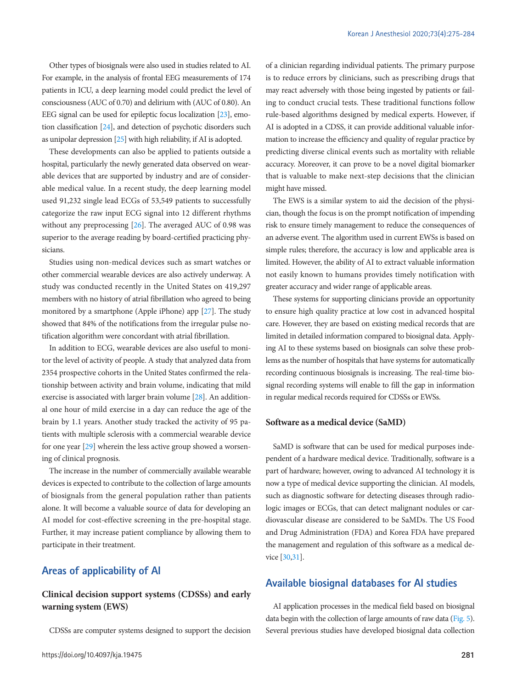Other types of biosignals were also used in studies related to AI. For example, in the analysis of frontal EEG measurements of 174 patients in ICU, a deep learning model could predict the level of consciousness (AUC of 0.70) and delirium with (AUC of 0.80). An EEG signal can be used for epileptic focus localization [\[23](#page-8-17)], emotion classification [\[24](#page-8-18)], and detection of psychotic disorders such as unipolar depression [\[25](#page-8-19)] with high reliability, if AI is adopted.

These developments can also be applied to patients outside a hospital, particularly the newly generated data observed on wearable devices that are supported by industry and are of considerable medical value. In a recent study, the deep learning model used 91,232 single lead ECGs of 53,549 patients to successfully categorize the raw input ECG signal into 12 different rhythms without any preprocessing [\[26](#page-8-20)]. The averaged AUC of 0.98 was superior to the average reading by board-certified practicing physicians.

Studies using non-medical devices such as smart watches or other commercial wearable devices are also actively underway. A study was conducted recently in the United States on 419,297 members with no history of atrial fibrillation who agreed to being monitored by a smartphone (Apple iPhone) app [[27\]](#page-8-21). The study showed that 84% of the notifications from the irregular pulse notification algorithm were concordant with atrial fibrillation.

In addition to ECG, wearable devices are also useful to monitor the level of activity of people. A study that analyzed data from 2354 prospective cohorts in the United States confirmed the relationship between activity and brain volume, indicating that mild exercise is associated with larger brain volume [\[28](#page-8-22)]. An additional one hour of mild exercise in a day can reduce the age of the brain by 1.1 years. Another study tracked the activity of 95 patients with multiple sclerosis with a commercial wearable device for one year [\[29](#page-8-23)] wherein the less active group showed a worsening of clinical prognosis.

The increase in the number of commercially available wearable devices is expected to contribute to the collection of large amounts of biosignals from the general population rather than patients alone. It will become a valuable source of data for developing an AI model for cost-effective screening in the pre-hospital stage. Further, it may increase patient compliance by allowing them to participate in their treatment.

## **Areas of applicability of AI**

## **Clinical decision support systems (CDSSs) and early warning system (EWS)**

CDSSs are computer systems designed to support the decision

of a clinician regarding individual patients. The primary purpose is to reduce errors by clinicians, such as prescribing drugs that may react adversely with those being ingested by patients or failing to conduct crucial tests. These traditional functions follow rule-based algorithms designed by medical experts. However, if AI is adopted in a CDSS, it can provide additional valuable information to increase the efficiency and quality of regular practice by predicting diverse clinical events such as mortality with reliable accuracy. Moreover, it can prove to be a novel digital biomarker that is valuable to make next-step decisions that the clinician might have missed.

The EWS is a similar system to aid the decision of the physician, though the focus is on the prompt notification of impending risk to ensure timely management to reduce the consequences of an adverse event. The algorithm used in current EWSs is based on simple rules; therefore, the accuracy is low and applicable area is limited. However, the ability of AI to extract valuable information not easily known to humans provides timely notification with greater accuracy and wider range of applicable areas.

These systems for supporting clinicians provide an opportunity to ensure high quality practice at low cost in advanced hospital care. However, they are based on existing medical records that are limited in detailed information compared to biosignal data. Applying AI to these systems based on biosignals can solve these problems as the number of hospitals that have systems for automatically recording continuous biosignals is increasing. The real-time biosignal recording systems will enable to fill the gap in information in regular medical records required for CDSSs or EWSs.

#### **Software as a medical device (SaMD)**

SaMD is software that can be used for medical purposes independent of a hardware medical device. Traditionally, software is a part of hardware; however, owing to advanced AI technology it is now a type of medical device supporting the clinician. AI models, such as diagnostic software for detecting diseases through radiologic images or ECGs, that can detect malignant nodules or cardiovascular disease are considered to be SaMDs. The US Food and Drug Administration (FDA) and Korea FDA have prepared the management and regulation of this software as a medical device [\[30](#page-8-4)[,31](#page-8-24)].

## **Available biosignal databases for AI studies**

AI application processes in the medical field based on biosignal data begin with the collection of large amounts of raw data (Fig. 5). Several previous studies have developed biosignal data collection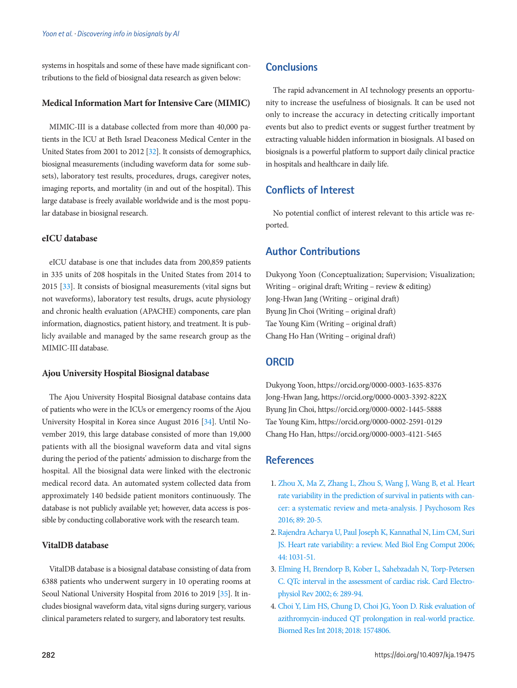systems in hospitals and some of these have made significant contributions to the field of biosignal data research as given below:

#### **Medical Information Mart for Intensive Care (MIMIC)**

MIMIC-III is a database collected from more than 40,000 patients in the ICU at Beth Israel Deaconess Medical Center in the United States from 2001 to 2012 [\[32](#page-9-0)]. It consists of demographics, biosignal measurements (including waveform data for some subsets), laboratory test results, procedures, drugs, caregiver notes, imaging reports, and mortality (in and out of the hospital). This large database is freely available worldwide and is the most popular database in biosignal research.

## **eICU database**

eICU database is one that includes data from 200,859 patients in 335 units of 208 hospitals in the United States from 2014 to 2015 [\[33](#page-9-1)]. It consists of biosignal measurements (vital signs but not waveforms), laboratory test results, drugs, acute physiology and chronic health evaluation (APACHE) components, care plan information, diagnostics, patient history, and treatment. It is publicly available and managed by the same research group as the MIMIC-III database.

#### **Ajou University Hospital Biosignal database**

The Ajou University Hospital Biosignal database contains data of patients who were in the ICUs or emergency rooms of the Ajou University Hospital in Korea since August 2016 [\[34](#page-9-2)]. Until November 2019, this large database consisted of more than 19,000 patients with all the biosignal waveform data and vital signs during the period of the patients' admission to discharge from the hospital. All the biosignal data were linked with the electronic medical record data. An automated system collected data from approximately 140 bedside patient monitors continuously. The database is not publicly available yet; however, data access is possible by conducting collaborative work with the research team.

## **VitalDB database**

VitalDB database is a biosignal database consisting of data from 6388 patients who underwent surgery in 10 operating rooms at Seoul National University Hospital from 2016 to 2019 [\[35\]](#page-9-3). It includes biosignal waveform data, vital signs during surgery, various clinical parameters related to surgery, and laboratory test results.

## **Conclusions**

The rapid advancement in AI technology presents an opportunity to increase the usefulness of biosignals. It can be used not only to increase the accuracy in detecting critically important events but also to predict events or suggest further treatment by extracting valuable hidden information in biosignals. AI based on biosignals is a powerful platform to support daily clinical practice in hospitals and healthcare in daily life.

# **Conflicts of Interest**

No potential conflict of interest relevant to this article was reported.

# **Author Contributions**

Dukyong Yoon (Conceptualization; Supervision; Visualization; Writing – original draft; Writing – review & editing) Jong-Hwan Jang (Writing – original draft) Byung Jin Choi (Writing – original draft) Tae Young Kim (Writing – original draft) Chang Ho Han (Writing – original draft)

# **ORCID**

Dukyong Yoon, https://orcid.org/0000-0003-1635-8376 Jong-Hwan Jang, https://orcid.org/0000-0003-3392-822X Byung Jin Choi, https://orcid.org/0000-0002-1445-5888 Tae Young Kim, https://orcid.org/0000-0002-2591-0129 Chang Ho Han, https://orcid.org/0000-0003-4121-5465

# **References**

- <span id="page-7-0"></span>1. [Zhou X, Ma Z, Zhang L, Zhou S, Wang J, Wang B, et al. Heart](https://doi.org/10.1016/j.jpsychores.2016.08.004)  [rate variability in the prediction of survival in patients with can](https://doi.org/10.1016/j.jpsychores.2016.08.004)[cer: a systematic review and meta-analysis. J Psychosom Res](https://doi.org/10.1016/j.jpsychores.2016.08.004)  [2016; 89: 20-5.](https://doi.org/10.1016/j.jpsychores.2016.08.004)
- <span id="page-7-1"></span>2. [Rajendra Acharya U, Paul Joseph K, Kannathal N, Lim CM, Suri](https://doi.org/10.1007/s11517-006-0119-0)  [JS. Heart rate variability: a review. Med Biol Eng Comput 2006;](https://doi.org/10.1007/s11517-006-0119-0)  [44: 1031-51.](https://doi.org/10.1007/s11517-006-0119-0)
- <span id="page-7-2"></span>3. Elming H, B[rendorp B, Kober L, Sahebzadah N, Torp-Petersen](https://doi.org/10.1023/A:1016345412555)  [C. QTc interval in the assessment of cardiac risk. Card Electro](https://doi.org/10.1023/A:1016345412555)[physiol Rev 2002; 6: 289-94.](https://doi.org/10.1023/A:1016345412555)
- <span id="page-7-3"></span>[4. Choi Y, Lim HS, Chung D, Choi JG, Yoon D. Risk evaluation of](https://doi.org/10.1155/2018/1574806)  [azithromycin-induced QT prolongation in real-world practice.](https://doi.org/10.1155/2018/1574806)  [Biomed Res Int 2018; 2018: 1574806](https://doi.org/10.1155/2018/1574806).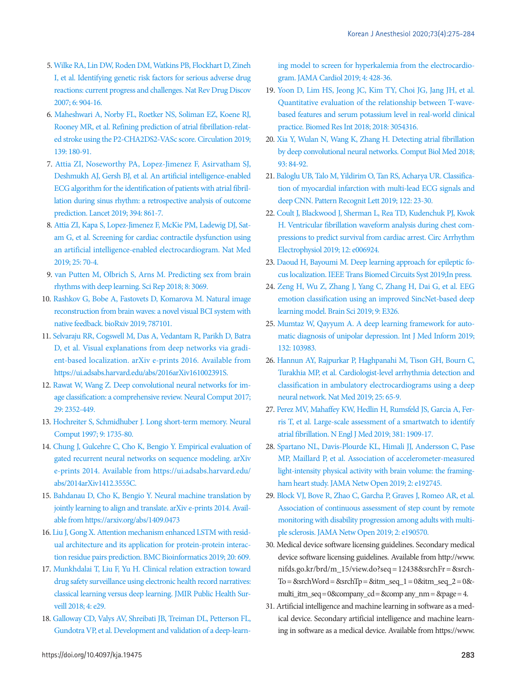- <span id="page-8-0"></span>5. Wi[lke RA, Lin DW, Roden DM, Watkins PB, Flockhart D, Zineh](https://doi.org/10.1038/nrd2423)  [I, et al. Identifying genetic risk factors for serious adverse drug](https://doi.org/10.1038/nrd2423)  [reactions: current progress and challenges. Nat Rev Drug Discov](https://doi.org/10.1038/nrd2423)  [2007; 6: 904-16.](https://doi.org/10.1038/nrd2423)
- <span id="page-8-1"></span>[6. Maheshwari A, Norby FL, Roetker NS, Soliman EZ, Koene RJ,](https://doi.org/10.1161/CIRCULATIONAHA.118.035411)  [Rooney MR, et al. Refining prediction of atrial fibrillation-relat](https://doi.org/10.1161/CIRCULATIONAHA.118.035411)[ed stroke using the P2-CHA2DS2-VASc score. Circulation 2019;](https://doi.org/10.1161/CIRCULATIONAHA.118.035411)  [139: 180-91](https://doi.org/10.1161/CIRCULATIONAHA.118.035411).
- 7. [Attia ZI, Noseworthy PA, Lopez-Jimenez F, Asirvatham SJ,](https://doi.org/10.1016/S0140-6736(19)31721-0)  [Deshmukh AJ, Gersh BJ, et al. An artificial intelligence-enabled](https://doi.org/10.1016/S0140-6736(19)31721-0)  [ECG algorithm for the identification of patients with atrial fibril](https://doi.org/10.1016/S0140-6736(19)31721-0)[lation during sinus rhythm: a retrospective analysis of](https://doi.org/10.1016/S0140-6736(19)31721-0) outcome prediction. Lancet 2019; 394: 861-7.
- <span id="page-8-6"></span>8. Attia ZI, Kapa S, Lop[ez-Jimenez F, McKie PM, Ladewig DJ, Sat](https://doi.org/10.1038/s41591-018-0240-2)[am G, et al. Screening for cardiac contractile dysfunction using](https://doi.org/10.1038/s41591-018-0240-2)  [an artificial intelligence-enabled electrocardiogram. Nat Med](https://doi.org/10.1038/s41591-018-0240-2)  [2019; 25: 70-4.](https://doi.org/10.1038/s41591-018-0240-2)
- <span id="page-8-2"></span>[9. van Putten M, Olbrich S, Arns M. Predicting sex from brain](https://doi.org/10.1038/s41598-018-21495-7)  [rhythms with deep learning. Sci Rep 2018; 8: 3069.](https://doi.org/10.1038/s41598-018-21495-7)
- <span id="page-8-3"></span>1[0. Rashkov G, Bobe A, Fastovets D, Komarova M. Natural image](https://doi.org/10.1101/787101)  [reconstruction from brain waves: a novel visual BCI system with](https://doi.org/10.1101/787101)  [native feedback. bioRxiv 2019; 787101](https://doi.org/10.1101/787101).
- <span id="page-8-5"></span>1[1. Selvaraju RR, Cogswell M, Das A, Vedantam R, Parikh D, Batra](https://doi.org/10.1109/ICCV.2017.74)  [D, et al. Visual explanations from deep networks via gradi](https://doi.org/10.1109/ICCV.2017.74)[ent-based localization. arXiv e-prints 2016. Available from](https://doi.org/10.1109/ICCV.2017.74)  [https://ui.adsabs.harvard.edu/abs/2016arXiv161002391S.](https://doi.org/10.1109/ICCV.2017.74)
- 12. [Rawat W, Wang Z. Deep convolutional neural networks for im](https://doi.org/10.1162/neco_a_00990)[age classification: a comprehensive review. Neural Comput 2017;](https://doi.org/10.1162/neco_a_00990)  [29: 2352-449.](https://doi.org/10.1162/neco_a_00990)
- <span id="page-8-7"></span>1[3. Hochreiter S, Schmidhuber J. Long short-term memory. Neural](https://doi.org/10.1162/neco.1997.9.8.1735)  [Comput 1997; 9: 1735-80.](https://doi.org/10.1162/neco.1997.9.8.1735)
- <span id="page-8-8"></span>14. Chung J, Gulcehre C, Cho K, Bengio Y. Empirical evaluation of gated recurrent neural networks on sequence modeling. arXiv e-prints 2014. Available from https://ui.adsabs.harvard.edu/ abs/2014arXiv1412.3555C.
- <span id="page-8-9"></span>15. Bahdanau D, Cho K, Bengio Y. Neural machine translation by jointly learning to align and translate. arXiv e-prints 2014. Available from https://arxiv.org/abs/1409.0473
- <span id="page-8-10"></span>1[6. Liu J, Gong X. Attention mechanism enhanced LSTM with resid](https://doi.org/10.1186/s12859-019-3199-1)[ual architecture and its application for protein-protein interac](https://doi.org/10.1186/s12859-019-3199-1)[tion residue pairs prediction. BMC Bioinformatics 2019; 20: 609.](https://doi.org/10.1186/s12859-019-3199-1)
- <span id="page-8-11"></span>1[7. Munkhdalai T, Liu F, Yu H. Clinical relation extraction toward](https://doi.org/10.2196/publichealth.9361)  [drug safety surveillance using electronic health record narratives:](https://doi.org/10.2196/publichealth.9361)  [classical learning versus deep learning. JMIR Public Health Sur](https://doi.org/10.2196/publichealth.9361)[veill 2018; 4: e29.](https://doi.org/10.2196/publichealth.9361)
- <span id="page-8-12"></span>1[8. Galloway CD, Valys AV, Shreibati JB, Treiman DL, Petterson FL,](https://doi.org/10.1001/jamacardio.2019.0640)  [Gundotra VP, et al. Development and validation of a deep-learn-](https://doi.org/10.1001/jamacardio.2019.0640)

[ing model to screen for hyperkalemia from the electrocardio](https://doi.org/10.1001/jamacardio.2019.0640)[gram. JAMA Cardiol 2019; 4: 428-36.](https://doi.org/10.1001/jamacardio.2019.0640)

- <span id="page-8-13"></span>1[9. Yoon D, Lim HS, Jeong JC, Kim TY, Choi JG, Jang JH, et al.](https://doi.org/10.1155/2018/3054316)  [Quantitative evaluation of the relationship between T-wave](https://doi.org/10.1155/2018/3054316)[based features and serum potassium level in real-world clinical](https://doi.org/10.1155/2018/3054316)  [practice. Biomed Res Int 2018; 2018: 3054316.](https://doi.org/10.1155/2018/3054316)
- <span id="page-8-14"></span>20[. Xia Y, Wulan N, Wang K, Zhang H. Detecting atrial fibrillation](https://doi.org/10.1016/j.compbiomed.2017.12.007)  [by deep convolutional neural networks. Comput Biol Med 2018;](https://doi.org/10.1016/j.compbiomed.2017.12.007)  [93: 84-92.](https://doi.org/10.1016/j.compbiomed.2017.12.007)
- <span id="page-8-15"></span>21[. Baloglu UB, Talo M, Yildirim O, Tan RS, Acharya UR. Classifica](https://doi.org/10.1016/j.patrec.2019.02.016)[tion of myocardial infarction with multi-lead ECG signals and](https://doi.org/10.1016/j.patrec.2019.02.016)  [deep CNN. Pattern Recognit Lett 2019; 122: 23-30.](https://doi.org/10.1016/j.patrec.2019.02.016)
- <span id="page-8-16"></span>22[. Coult J, Blackwood J, Sherman L, Rea TD, Kudenchuk PJ, Kwok](https://doi.org/10.1161/CIRCEP.118.006924)  [H. Ventricular fibrillation waveform analysis during chest com](https://doi.org/10.1161/CIRCEP.118.006924)[pressions to predict survival from cardiac arrest. Circ Arrhythm](https://doi.org/10.1161/CIRCEP.118.006924)  [Electrophysiol 2019; 12: e006924.](https://doi.org/10.1161/CIRCEP.118.006924)
- <span id="page-8-17"></span>23[. Daoud H, Bayoumi M. Deep learning approach for epileptic fo](https://doi.org/10.1109/TBCAS.2019.2957087)[cus localization. IEEE Trans Biomed Circuits Syst 2019;In press.](https://doi.org/10.1109/TBCAS.2019.2957087)
- <span id="page-8-18"></span>2[4. Zeng H, Wu Z, Zhang J, Yang C, Zhang H, Dai G, et al. EEG](https://doi.org/10.3390/brainsci9110326)  [emotion classification using an improved SincNet-based deep](https://doi.org/10.3390/brainsci9110326)  [learning model. Brain Sci 2019; 9: E326](https://doi.org/10.3390/brainsci9110326).
- <span id="page-8-19"></span>2[5. Mumtaz W, Qayyum A. A deep learning framework for auto](https://doi.org/10.1016/j.ijmedinf.2019.103983)[matic diagnosis of unipolar depression. Int J Med Inform 2019;](https://doi.org/10.1016/j.ijmedinf.2019.103983)  [132: 103983.](https://doi.org/10.1016/j.ijmedinf.2019.103983)
- <span id="page-8-20"></span>26[. Hannun AY, Rajpurkar P, Haghpanahi M, Tison GH, Bourn C,](https://doi.org/10.1038/s41591-018-0268-3)  [Turakhia MP, et al. Cardiologist-level arrhythmia detection and](https://doi.org/10.1038/s41591-018-0268-3)  [classification in ambulatory electrocardiograms using a deep](https://doi.org/10.1038/s41591-018-0268-3)  [neural network. Nat Med 2019; 25: 65-9](https://doi.org/10.1038/s41591-018-0268-3).
- <span id="page-8-21"></span>27[. Perez MV, Mahaffey KW, Hedlin H, Rumsfeld JS, Garcia A, Fer](https://doi.org/10.1056/NEJMoa1901183)[ris T, et al. Large-scale assessment of a smartwatch to identify](https://doi.org/10.1056/NEJMoa1901183)  [atrial fibrillation. N Engl J Med 2019; 381: 1909-17](https://doi.org/10.1056/NEJMoa1901183).
- <span id="page-8-22"></span>2[8. Spartano NL, Davis-Plourde KL, Himali JJ, Andersson C, Pase](https://doi.org/10.1001/jamanetworkopen.2019.2745)  [MP, Maillard P, et al. Association of accelerometer-measured](https://doi.org/10.1001/jamanetworkopen.2019.2745)  [light-intensity physical activity with brain volume: the framing](https://doi.org/10.1001/jamanetworkopen.2019.2745)[ham heart study. JAMA Netw Open 2019; 2: e192745.](https://doi.org/10.1001/jamanetworkopen.2019.2745)
- <span id="page-8-23"></span>29[. Block VJ, Bove R, Zhao C, Garcha P, Graves J, Romeo AR, et al.](https://doi.org/10.1001/jamanetworkopen.2019.0570)  [Association of continuous assessment of step count by remote](https://doi.org/10.1001/jamanetworkopen.2019.0570)  [monitoring with disability progression among adults with multi](https://doi.org/10.1001/jamanetworkopen.2019.0570)[ple sclerosis. JAMA Netw Open 2019; 2](https://doi.org/10.1001/jamanetworkopen.2019.0570): e190570.
- <span id="page-8-4"></span>30. Medical device software licensing guidelines. Secondary medical device software licensing guidelines. Available from http:[//www.](http://www.nifds.go.kr/brd/m_15/view.do?seq=12438&srchFr=&srchTo=&srchWord=&srchTp=&itm_seq_1=0&itm_seq_2=0&multi_itm_seq=0&company_cd=&comp any_nm=&page=4) [nifds.go.kr/brd/m\\_15/view.do?](http://www.nifds.go.kr/brd/m_15/view.do?seq=12438&srchFr=&srchTo=&srchWord=&srchTp=&itm_seq_1=0&itm_seq_2=0&multi_itm_seq=0&company_cd=&comp any_nm=&page=4)seq = 12438&srchFr = &srch- $To = 8$ srchWord =  $8$ srchTp =  $8$ itm\_seq\_1 = 0 $8$ itm\_seq\_2 = 0 $8$ multi\_itm\_seq=0&company\_cd=&comp any\_nm= &page= 4.
- <span id="page-8-24"></span>31. [Artificial intelligence and machine learning in software as a med](https://www.fda.gov/medical-devices/software-medical-device-samd/artificial-intelligence-and-machine-learning-software-medical-device)[ical device. Secondary artificial intelligence and machine learn](https://www.fda.gov/medical-devices/software-medical-device-samd/artificial-intelligence-and-machine-learning-software-medical-device)[ing in software as a medical device. Available from https://www.](https://www.fda.gov/medical-devices/software-medical-device-samd/artificial-intelligence-and-machine-learning-software-medical-device)